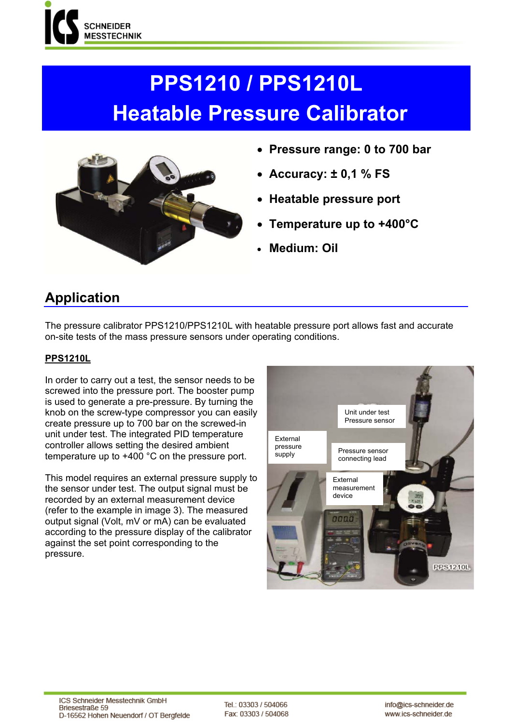

# **PPS1210 / PPS1210L Heatable Pressure Calibrator**



- **Pressure range: 0 to 700 bar**
- **Accuracy: ± 0,1 % FS**
- **Heatable pressure port**
- **Temperature up to +400°C**
- **Medium: Oil**

## **Application**

The pressure calibrator PPS1210/PPS1210L with heatable pressure port allows fast and accurate on-site tests of the mass pressure sensors under operating conditions.

### **PPS1210L**

In order to carry out a test, the sensor needs to be screwed into the pressure port. The booster pump is used to generate a pre-pressure. By turning the knob on the screw-type compressor you can easily create pressure up to 700 bar on the screwed-in unit under test. The integrated PID temperature controller allows setting the desired ambient temperature up to +400 °C on the pressure port.

This model requires an external pressure supply to the sensor under test. The output signal must be recorded by an external measurement device (refer to the example in image 3). The measured output signal (Volt, mV or mA) can be evaluated according to the pressure display of the calibrator against the set point corresponding to the pressure.

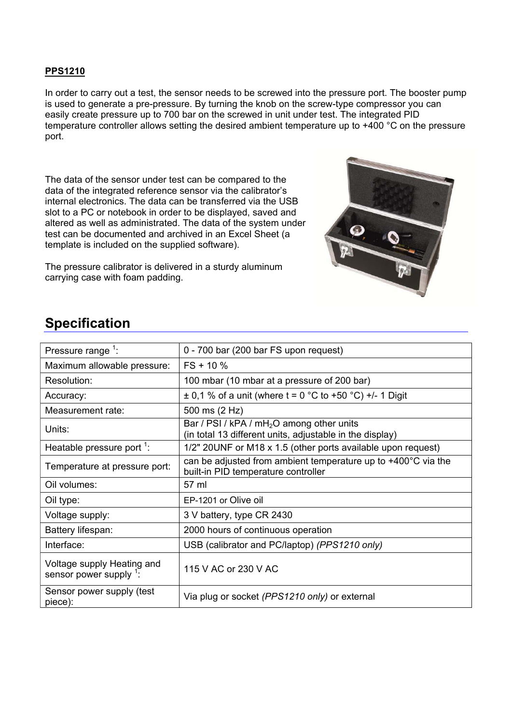#### **PPS1210**

In order to carry out a test, the sensor needs to be screwed into the pressure port. The booster pump is used to generate a pre-pressure. By turning the knob on the screw-type compressor you can easily create pressure up to 700 bar on the screwed in unit under test. The integrated PID temperature controller allows setting the desired ambient temperature up to +400 °C on the pressure port.

The data of the sensor under test can be compared to the data of the integrated reference sensor via the calibrator's internal electronics. The data can be transferred via the USB slot to a PC or notebook in order to be displayed, saved and altered as well as administrated. The data of the system under test can be documented and archived in an Excel Sheet (a template is included on the supplied software).

The pressure calibrator is delivered in a sturdy aluminum carrying case with foam padding.



## **Specification**

| Pressure range $1$ :                                    | 0 - 700 bar (200 bar FS upon request)                                                                             |
|---------------------------------------------------------|-------------------------------------------------------------------------------------------------------------------|
| Maximum allowable pressure:                             | $FS + 10 \%$                                                                                                      |
| Resolution:                                             | 100 mbar (10 mbar at a pressure of 200 bar)                                                                       |
| Accuracy:                                               | $\pm$ 0,1 % of a unit (where t = 0 °C to +50 °C) +/- 1 Digit                                                      |
| Measurement rate:                                       | 500 ms (2 Hz)                                                                                                     |
| Units:                                                  | Bar / PSI / kPA / mH <sub>2</sub> O among other units<br>(in total 13 different units, adjustable in the display) |
| Heatable pressure port <sup>1</sup> :                   | 1/2" 20UNF or M18 x 1.5 (other ports available upon request)                                                      |
| Temperature at pressure port:                           | can be adjusted from ambient temperature up to +400°C via the<br>built-in PID temperature controller              |
| Oil volumes:                                            | 57 ml                                                                                                             |
| Oil type:                                               | EP-1201 or Olive oil                                                                                              |
| Voltage supply:                                         | 3 V battery, type CR 2430                                                                                         |
| Battery lifespan:                                       | 2000 hours of continuous operation                                                                                |
| Interface:                                              | USB (calibrator and PC/laptop) (PPS1210 only)                                                                     |
| Voltage supply Heating and<br>sensor power supply $1$ : | 115 V AC or 230 V AC                                                                                              |
| Sensor power supply (test<br>piece):                    | Via plug or socket (PPS1210 only) or external                                                                     |